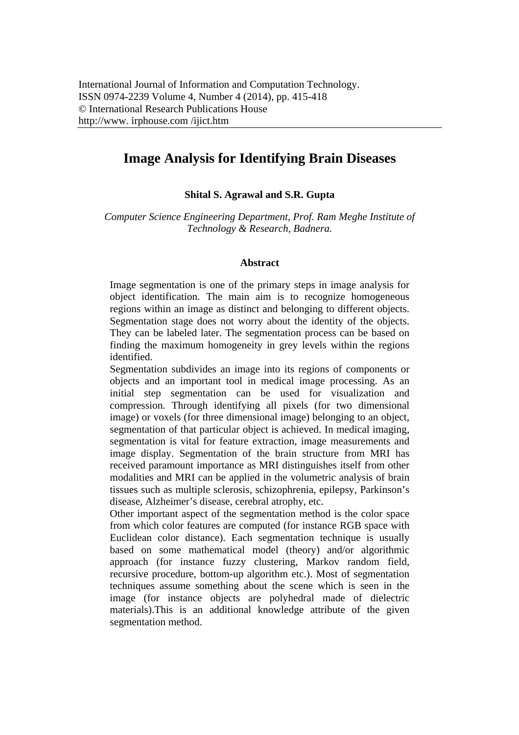# **Image Analysis for Identifying Brain Diseases**

## **Shital S. Agrawal and S.R. Gupta**

*Computer Science Engineering Department, Prof. Ram Meghe Institute of Technology & Research, Badnera.* 

#### **Abstract**

Image segmentation is one of the primary steps in image analysis for object identification. The main aim is to recognize homogeneous regions within an image as distinct and belonging to different objects. Segmentation stage does not worry about the identity of the objects. They can be labeled later. The segmentation process can be based on finding the maximum homogeneity in grey levels within the regions identified.

Segmentation subdivides an image into its regions of components or objects and an important tool in medical image processing. As an initial step segmentation can be used for visualization and compression. Through identifying all pixels (for two dimensional image) or voxels (for three dimensional image) belonging to an object, segmentation of that particular object is achieved. In medical imaging, segmentation is vital for feature extraction, image measurements and image display. Segmentation of the brain structure from MRI has received paramount importance as MRI distinguishes itself from other modalities and MRI can be applied in the volumetric analysis of brain tissues such as multiple sclerosis, schizophrenia, epilepsy, Parkinson's disease, Alzheimer's disease, cerebral atrophy, etc.

Other important aspect of the segmentation method is the color space from which color features are computed (for instance RGB space with Euclidean color distance). Each segmentation technique is usually based on some mathematical model (theory) and/or algorithmic approach (for instance fuzzy clustering, Markov random field, recursive procedure, bottom-up algorithm etc.). Most of segmentation techniques assume something about the scene which is seen in the image (for instance objects are polyhedral made of dielectric materials).This is an additional knowledge attribute of the given segmentation method.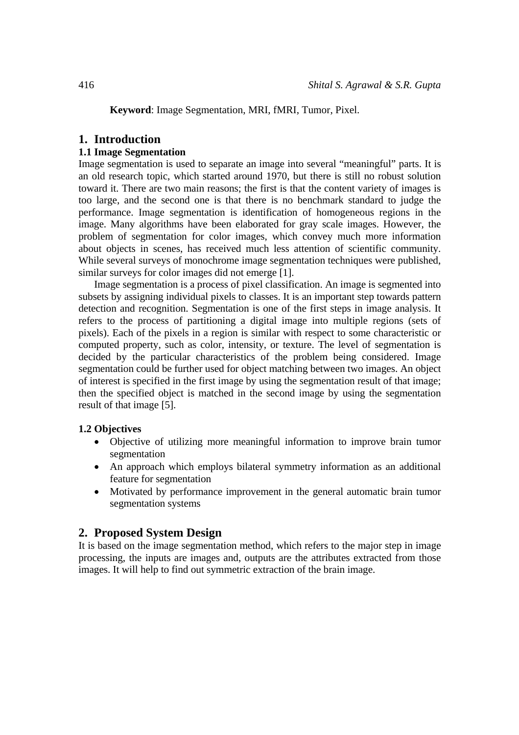**Keyword**: Image Segmentation, MRI, fMRI, Tumor, Pixel.

# **1. Introduction**

# **1.1 Image Segmentation**

Image segmentation is used to separate an image into several "meaningful" parts. It is an old research topic, which started around 1970, but there is still no robust solution toward it. There are two main reasons; the first is that the content variety of images is too large, and the second one is that there is no benchmark standard to judge the performance. Image segmentation is identification of homogeneous regions in the image. Many algorithms have been elaborated for gray scale images. However, the problem of segmentation for color images, which convey much more information about objects in scenes, has received much less attention of scientific community. While several surveys of monochrome image segmentation techniques were published, similar surveys for color images did not emerge [1].

Image segmentation is a process of pixel classification. An image is segmented into subsets by assigning individual pixels to classes. It is an important step towards pattern detection and recognition. Segmentation is one of the first steps in image analysis. It refers to the process of partitioning a digital image into multiple regions (sets of pixels). Each of the pixels in a region is similar with respect to some characteristic or computed property, such as color, intensity, or texture. The level of segmentation is decided by the particular characteristics of the problem being considered. Image segmentation could be further used for object matching between two images. An object of interest is specified in the first image by using the segmentation result of that image; then the specified object is matched in the second image by using the segmentation result of that image [5].

#### **1.2 Objectives**

- Objective of utilizing more meaningful information to improve brain tumor segmentation
- An approach which employs bilateral symmetry information as an additional feature for segmentation
- Motivated by performance improvement in the general automatic brain tumor segmentation systems

# **2. Proposed System Design**

It is based on the image segmentation method, which refers to the major step in image processing, the inputs are images and, outputs are the attributes extracted from those images. It will help to find out symmetric extraction of the brain image.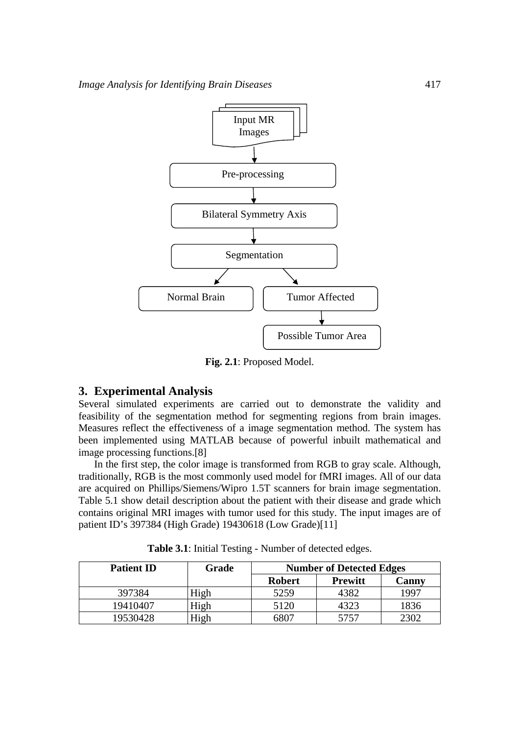

**Fig. 2.1**: Proposed Model.

## **3. Experimental Analysis**

Several simulated experiments are carried out to demonstrate the validity and feasibility of the segmentation method for segmenting regions from brain images. Measures reflect the effectiveness of a image segmentation method. The system has been implemented using MATLAB because of powerful inbuilt mathematical and image processing functions.[8]

In the first step, the color image is transformed from RGB to gray scale. Although, traditionally, RGB is the most commonly used model for fMRI images. All of our data are acquired on Phillips/Siemens/Wipro 1.5T scanners for brain image segmentation. Table 5.1 show detail description about the patient with their disease and grade which contains original MRI images with tumor used for this study. The input images are of patient ID's 397384 (High Grade) 19430618 (Low Grade)[11]

| <b>Patient ID</b> | Grade | <b>Number of Detected Edges</b> |                |       |
|-------------------|-------|---------------------------------|----------------|-------|
|                   |       | <b>Robert</b>                   | <b>Prewitt</b> | Canny |
| 397384            | High  | 5259                            | 4382           | 1997  |
| 19410407          | High  | 5120                            | 4323           | 1836  |
| 19530428          | High  | 5807                            | 5757           | 2302  |

**Table 3.1**: Initial Testing - Number of detected edges.